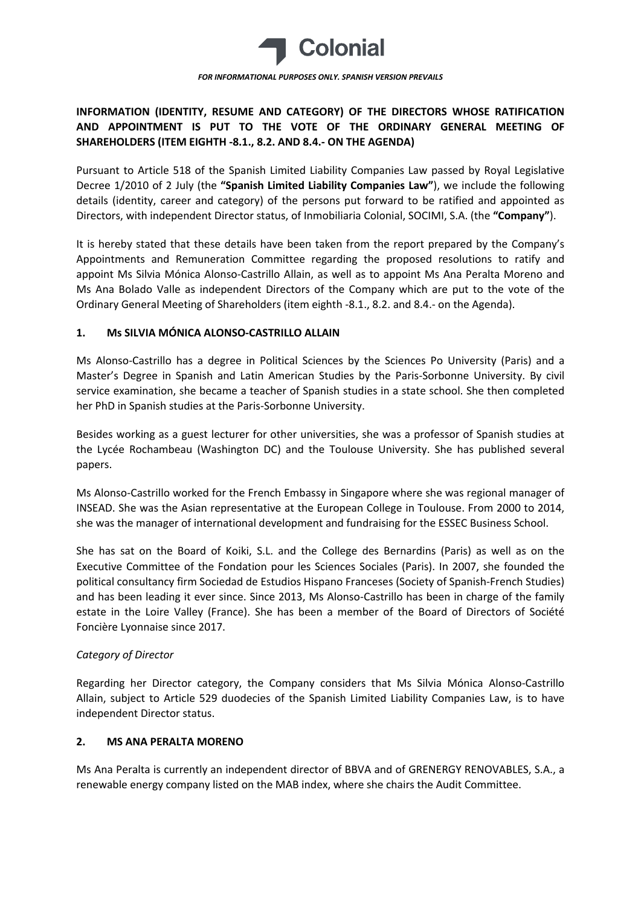

# **INFORMATION (IDENTITY, RESUME AND CATEGORY) OF THE DIRECTORS WHOSE RATIFICATION AND APPOINTMENT IS PUT TO THE VOTE OF THE ORDINARY GENERAL MEETING OF SHAREHOLDERS (ITEM EIGHTH -8.1., 8.2. AND 8.4.- ON THE AGENDA)**

Pursuant to Article 518 of the Spanish Limited Liability Companies Law passed by Royal Legislative Decree 1/2010 of 2 July (the **"Spanish Limited Liability Companies Law"**), we include the following details (identity, career and category) of the persons put forward to be ratified and appointed as Directors, with independent Director status, of Inmobiliaria Colonial, SOCIMI, S.A. (the **"Company"**).

It is hereby stated that these details have been taken from the report prepared by the Company's Appointments and Remuneration Committee regarding the proposed resolutions to ratify and appoint Ms Silvia Mónica Alonso-Castrillo Allain, as well as to appoint Ms Ana Peralta Moreno and Ms Ana Bolado Valle as independent Directors of the Company which are put to the vote of the Ordinary General Meeting of Shareholders (item eighth -8.1., 8.2. and 8.4.- on the Agenda).

### **1. Ms SILVIA MÓNICA ALONSO-CASTRILLO ALLAIN**

Ms Alonso-Castrillo has a degree in Political Sciences by the Sciences Po University (Paris) and a Master's Degree in Spanish and Latin American Studies by the Paris-Sorbonne University. By civil service examination, she became a teacher of Spanish studies in a state school. She then completed her PhD in Spanish studies at the Paris-Sorbonne University.

Besides working as a guest lecturer for other universities, she was a professor of Spanish studies at the Lycée Rochambeau (Washington DC) and the Toulouse University. She has published several papers.

Ms Alonso-Castrillo worked for the French Embassy in Singapore where she was regional manager of INSEAD. She was the Asian representative at the European College in Toulouse. From 2000 to 2014, she was the manager of international development and fundraising for the ESSEC Business School.

She has sat on the Board of Koiki, S.L. and the College des Bernardins (Paris) as well as on the Executive Committee of the Fondation pour les Sciences Sociales (Paris). In 2007, she founded the political consultancy firm Sociedad de Estudios Hispano Franceses (Society of Spanish-French Studies) and has been leading it ever since. Since 2013, Ms Alonso-Castrillo has been in charge of the family estate in the Loire Valley (France). She has been a member of the Board of Directors of Société Foncière Lyonnaise since 2017.

# *Category of Director*

Regarding her Director category, the Company considers that Ms Silvia Mónica Alonso-Castrillo Allain, subject to Article 529 duodecies of the Spanish Limited Liability Companies Law, is to have independent Director status.

#### **2. MS ANA PERALTA MORENO**

Ms Ana Peralta is currently an independent director of BBVA and of GRENERGY RENOVABLES, S.A., a renewable energy company listed on the MAB index, where she chairs the Audit Committee.